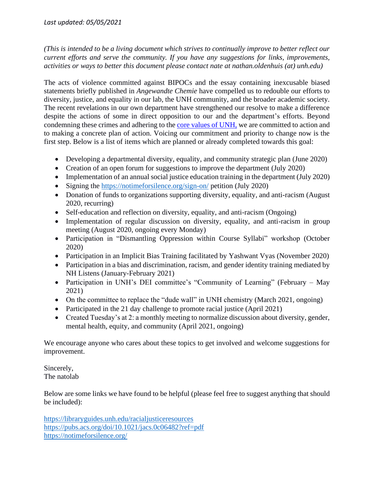*(This is intended to be a living document which strives to continually improve to better reflect our current efforts and serve the community. If you have any suggestions for links, improvements, activities or ways to better this document please contact nate at nathan.oldenhuis (at) unh.edu)*

The acts of violence committed against BIPOCs and the essay containing inexcusable biased statements briefly published in *Angewandte Chemie* have compelled us to redouble our efforts to diversity, justice, and equality in our lab, the UNH community, and the broader academic society. The recent revelations in our own department have strengthened our resolve to make a difference despite the actions of some in direct opposition to our and the department's efforts. Beyond condemning these crimes and adhering to the [core values of UNH,](https://www.unh.edu/inclusive/) we are committed to action and to making a concrete plan of action. Voicing our commitment and priority to change now is the first step. Below is a list of items which are planned or already completed towards this goal:

- Developing a departmental diversity, equality, and community strategic plan (June 2020)
- Creation of an open forum for suggestions to improve the department (July 2020)
- Implementation of an annual social justice education training in the department (July 2020)
- Signing the<https://notimeforsilence.org/sign-on/> petition (July 2020)
- Donation of funds to organizations supporting diversity, equality, and anti-racism (August) 2020, recurring)
- Self-education and reflection on diversity, equality, and anti-racism (Ongoing)
- Implementation of regular discussion on diversity, equality, and anti-racism in group meeting (August 2020, ongoing every Monday)
- Participation in "Dismantling Oppression within Course Syllabi" workshop (October 2020)
- Participation in an Implicit Bias Training facilitated by Yashwant Vyas (November 2020)
- Participation in a bias and discrimination, racism, and gender identity training mediated by NH Listens (January-February 2021)
- Participation in UNH's DEI committee's "Community of Learning" (February May 2021)
- On the committee to replace the "dude wall" in UNH chemistry (March 2021, ongoing)
- Participated in the 21 day challenge to promote racial justice (April 2021)
- Created Tuesday's at 2: a monthly meeting to normalize discussion about diversity, gender, mental health, equity, and community (April 2021, ongoing)

We encourage anyone who cares about these topics to get involved and welcome suggestions for improvement.

Sincerely, The natolab

Below are some links we have found to be helpful (please feel free to suggest anything that should be included):

<https://libraryguides.unh.edu/racialjusticeresources> <https://pubs.acs.org/doi/10.1021/jacs.0c06482?ref=pdf> <https://notimeforsilence.org/>